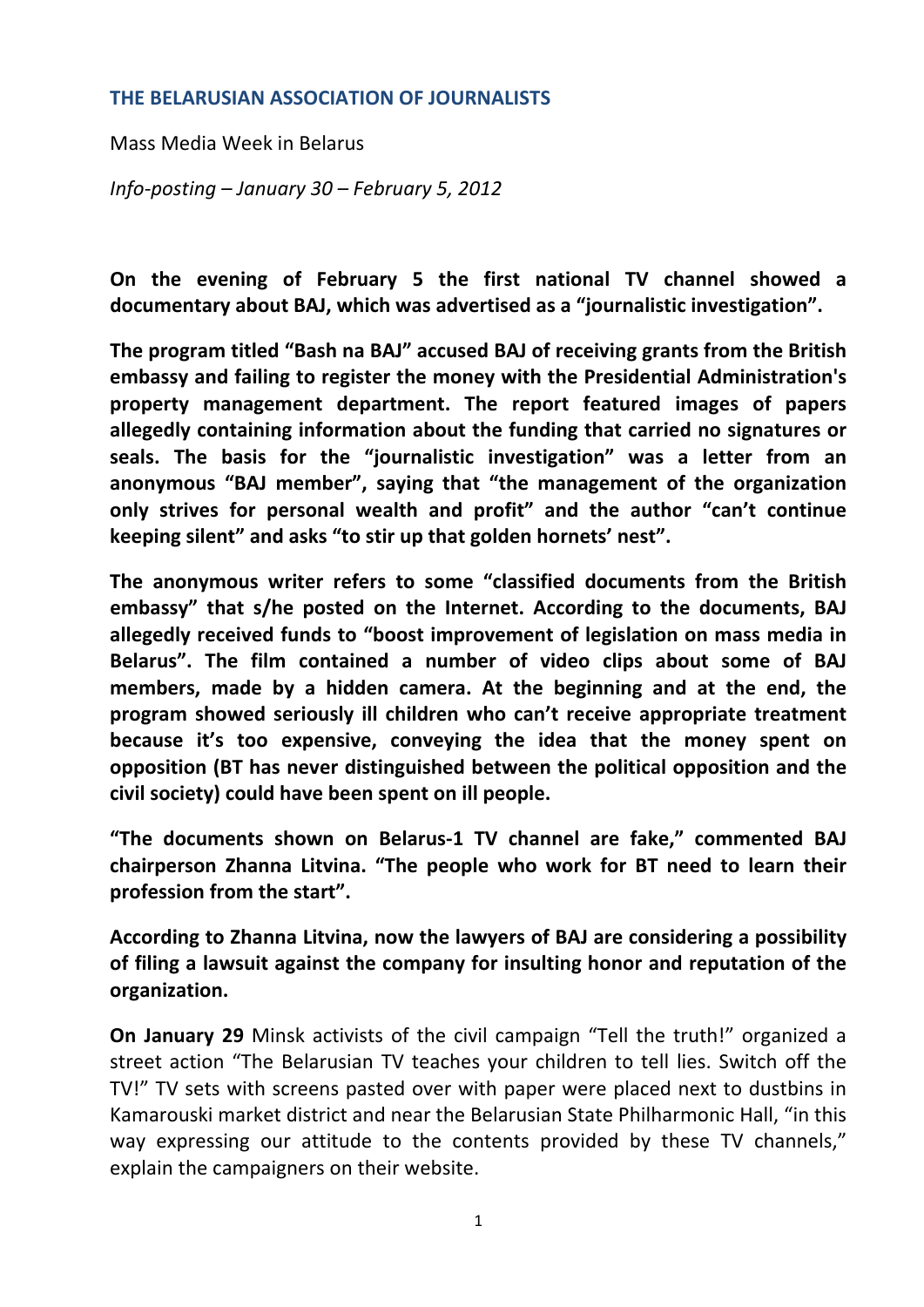## **THE BELARUSIAN ASSOCIATION OF JOURNALISTS**

Mass Media Week in Belarus

*Info‐posting – January 30 – February 5, 2012*

**On the evening of February 5 the first national TV channel showed a documentary about BAJ, which was advertised as a "journalistic investigation".** 

**The program titled "Bash na BAJ" accused BAJ of receiving grants from the British embassy and failing to register the money with the Presidential Administration's property management department. The report featured images of papers allegedly containing information about the funding that carried no signatures or seals. The basis for the "journalistic investigation" was a letter from an anonymous "BAJ member", saying that "the management of the organization only strives for personal wealth and profit" and the author "can't continue keeping silent" and asks "to stir up that golden hornets' nest".** 

**The anonymous writer refers to some "classified documents from the British embassy" that s/he posted on the Internet. According to the documents, BAJ allegedly received funds to "boost improvement of legislation on mass media in Belarus". The film contained a number of video clips about some of BAJ members, made by a hidden camera. At the beginning and at the end, the program showed seriously ill children who can't receive appropriate treatment because it's too expensive, conveying the idea that the money spent on opposition (BT has never distinguished between the political opposition and the civil society) could have been spent on ill people.**

**"The documents shown on Belarus‐1 TV channel are fake," commented BAJ chairperson Zhanna Litvina. "The people who work for BT need to learn their profession from the start".**

**According to Zhanna Litvina, now the lawyers of BAJ are considering a possibility of filing a lawsuit against the company for insulting honor and reputation of the organization.**

**On January 29** Minsk activists of the civil campaign "Tell the truth!" organized a street action "The Belarusian TV teaches your children to tell lies. Switch off the TV!" TV sets with screens pasted over with paper were placed next to dustbins in Kamarouski market district and near the Belarusian State Philharmonic Hall, "in this way expressing our attitude to the contents provided by these TV channels," explain the campaigners on their website.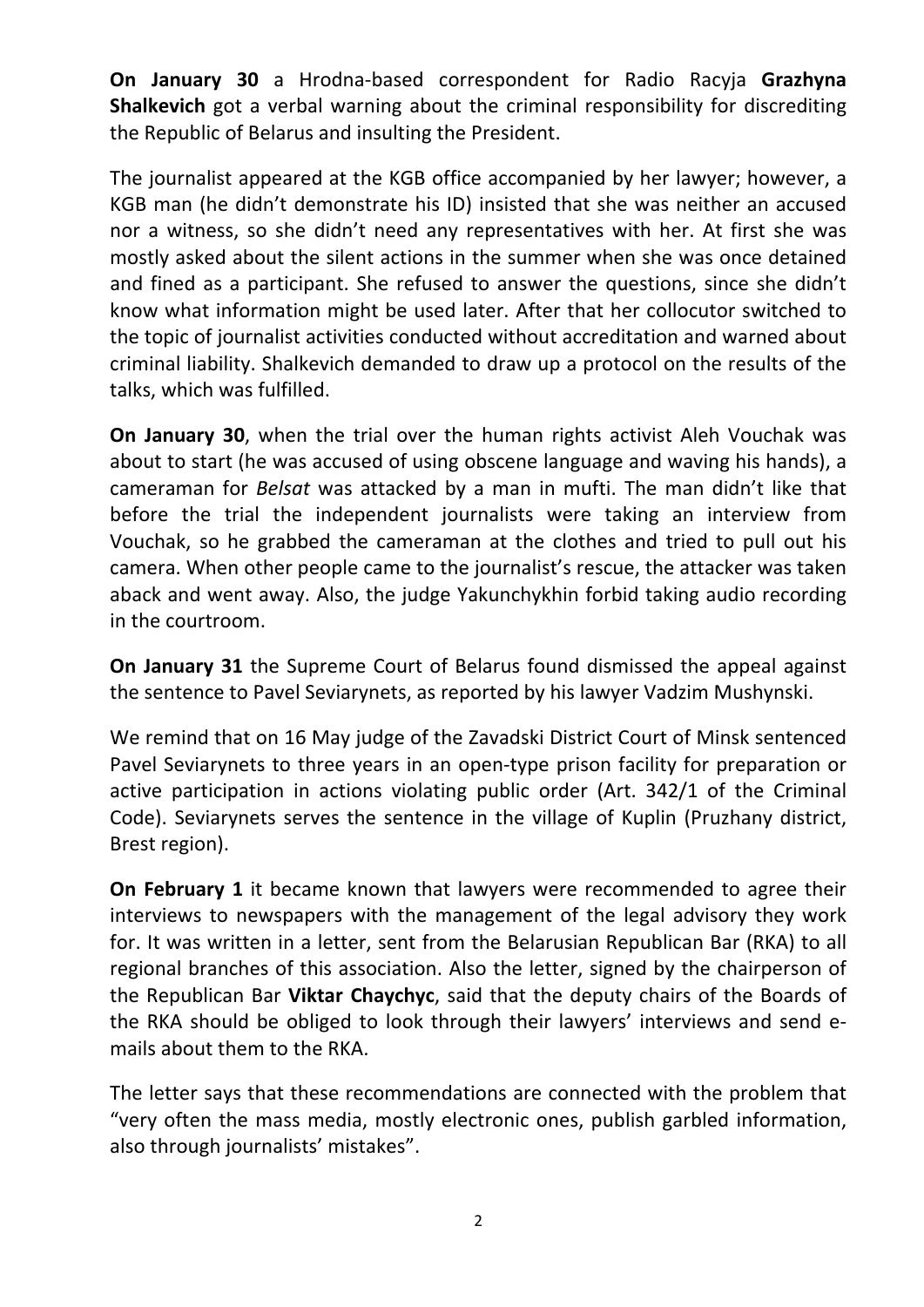**On January 30** a Hrodna‐based correspondent for Radio Racyja **Grazhyna Shalkevich** got a verbal warning about the criminal responsibility for discrediting the Republic of Belarus and insulting the President.

The journalist appeared at the KGB office accompanied by her lawyer; however, a KGB man (he didn't demonstrate his ID) insisted that she was neither an accused nor a witness, so she didn't need any representatives with her. At first she was mostly asked about the silent actions in the summer when she was once detained and fined as a participant. She refused to answer the questions, since she didn't know what information might be used later. After that her collocutor switched to the topic of journalist activities conducted without accreditation and warned about criminal liability. Shalkevich demanded to draw up a protocol on the results of the talks, which was fulfilled.

**On January 30**, when the trial over the human rights activist Aleh Vouchak was about to start (he was accused of using obscene language and waving his hands), a cameraman for *Belsat* was attacked by a man in mufti. The man didn't like that before the trial the independent journalists were taking an interview from Vouchak, so he grabbed the cameraman at the clothes and tried to pull out his camera. When other people came to the journalist's rescue, the attacker was taken aback and went away. Also, the judge Yakunchykhin forbid taking audio recording in the courtroom.

**On January 31** the Supreme Court of Belarus found dismissed the appeal against the sentence to Pavel Seviarynets, as reported by his lawyer Vadzim Mushynski.

We remind that on 16 May judge of the Zavadski District Court of Minsk sentenced Pavel Seviarynets to three years in an open-type prison facility for preparation or active participation in actions violating public order (Art. 342/1 of the Criminal Code). Seviarynets serves the sentence in the village of Kuplin (Pruzhany district, Brest region).

**On February 1** it became known that lawyers were recommended to agree their interviews to newspapers with the management of the legal advisory they work for. It was written in a letter, sent from the Belarusian Republican Bar (RKA) to all regional branches of this association. Also the letter, signed by the chairperson of the Republican Bar **Viktar Chaychyc**, said that the deputy chairs of the Boards of the RKA should be obliged to look through their lawyers' interviews and send e‐ mails about them to the RKA.

The letter says that these recommendations are connected with the problem that "very often the mass media, mostly electronic ones, publish garbled information, also through journalists' mistakes".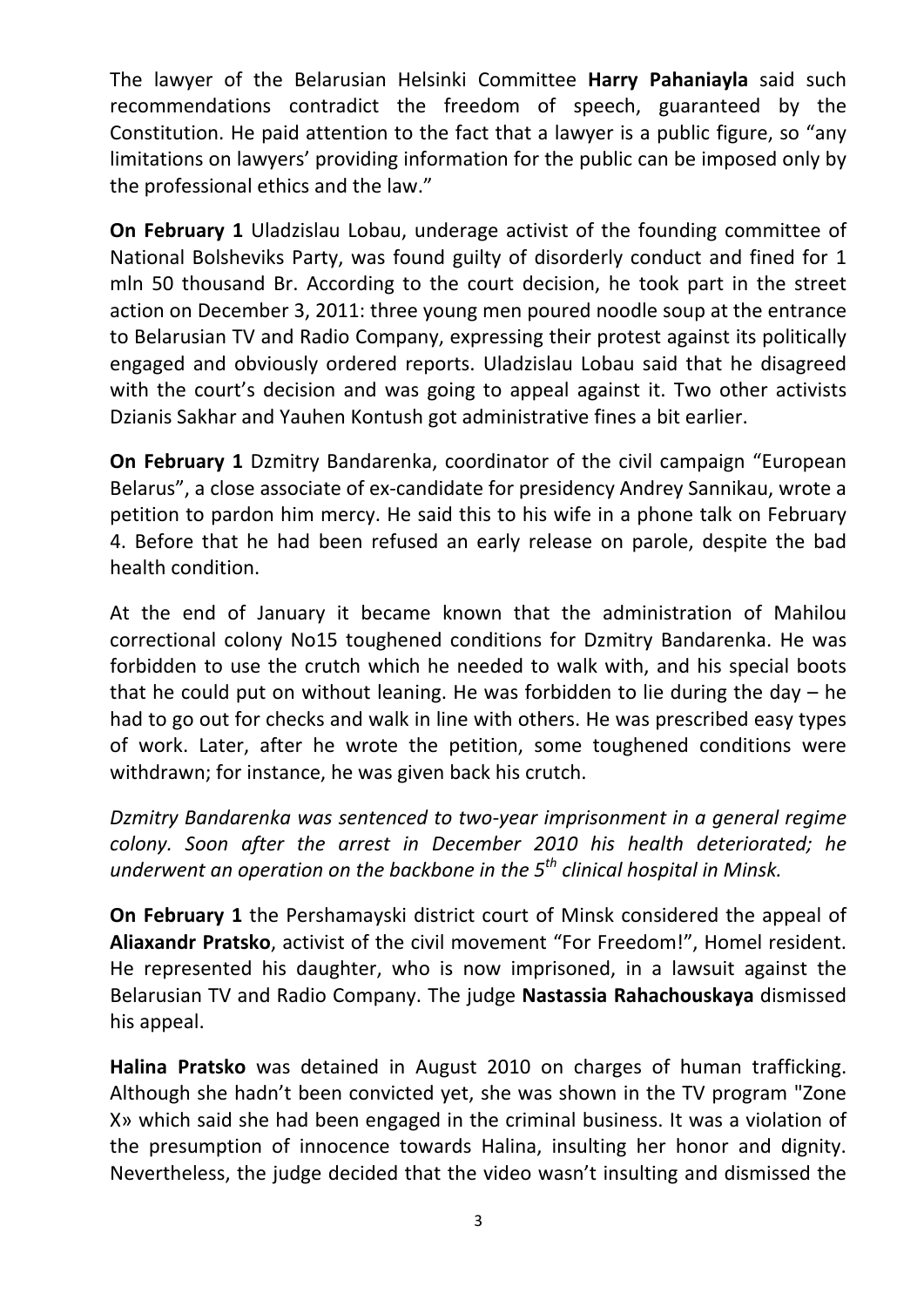The lawyer of the Belarusian Helsinki Committee **Harry Pahaniayla** said such recommendations contradict the freedom of speech, guaranteed by the Constitution. He paid attention to the fact that a lawyer is a public figure, so "any limitations on lawyers' providing information for the public can be imposed only by the professional ethics and the law."

**On February 1** Uladzislau Lobau, underage activist of the founding committee of National Bolsheviks Party, was found guilty of disorderly conduct and fined for 1 mln 50 thousand Br. According to the court decision, he took part in the street action on December 3, 2011: three young men poured noodle soup at the entrance to Belarusian TV and Radio Company, expressing their protest against its politically engaged and obviously ordered reports. Uladzislau Lobau said that he disagreed with the court's decision and was going to appeal against it. Two other activists Dzianis Sakhar and Yauhen Kontush got administrative fines a bit earlier.

**On February 1** Dzmitry Bandarenka, coordinator of the civil campaign "European Belarus", a close associate of ex‐candidate for presidency Andrey Sannikau, wrote a petition to pardon him mercy. He said this to his wife in a phone talk on February 4. Before that he had been refused an early release on parole, despite the bad health condition.

At the end of January it became known that the administration of Mahilou correctional colony No15 toughened conditions for Dzmitry Bandarenka. He was forbidden to use the crutch which he needed to walk with, and his special boots that he could put on without leaning. He was forbidden to lie during the day  $-$  he had to go out for checks and walk in line with others. He was prescribed easy types of work. Later, after he wrote the petition, some toughened conditions were withdrawn; for instance, he was given back his crutch.

*Dzmitry Bandarenka was sentenced to two‐year imprisonment in a general regime colony. Soon after the arrest in December 2010 his health deteriorated; he underwent an operation on the backbone in the 5th clinical hospital in Minsk.*

**On February 1** the Pershamayski district court of Minsk considered the appeal of **Aliaxandr Pratsko**, activist of the civil movement "For Freedom!", Homel resident. He represented his daughter, who is now imprisoned, in a lawsuit against the Belarusian TV and Radio Company. The judge **Nastassia Rahachouskaya** dismissed his appeal.

**Halina Pratsko** was detained in August 2010 on charges of human trafficking. Although she hadn't been convicted yet, she was shown in the TV program "Zone X» which said she had been engaged in the criminal business. It was a violation of the presumption of innocence towards Halina, insulting her honor and dignity. Nevertheless, the judge decided that the video wasn't insulting and dismissed the